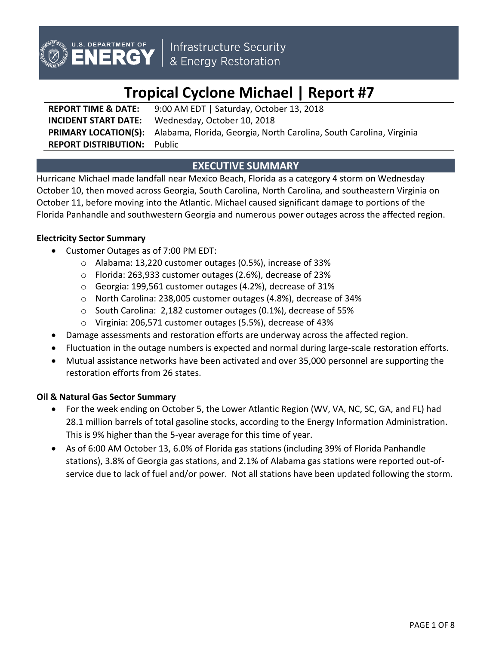

Infrastructure Security<br>& Energy Restoration

# **Tropical Cyclone Michael | Report #7**

**REPORT TIME & DATE:** 9:00 AM EDT | Saturday, October 13, 2018 **INCIDENT START DATE:** Wednesday, October 10, 2018 **PRIMARY LOCATION(S):** Alabama, Florida, Georgia, North Carolina, South Carolina, Virginia **REPORT DISTRIBUTION:** Public

# **EXECUTIVE SUMMARY**

Hurricane Michael made landfall near Mexico Beach, Florida as a category 4 storm on Wednesday October 10, then moved across Georgia, South Carolina, North Carolina, and southeastern Virginia on October 11, before moving into the Atlantic. Michael caused significant damage to portions of the Florida Panhandle and southwestern Georgia and numerous power outages across the affected region.

## **Electricity Sector Summary**

- Customer Outages as of 7:00 PM EDT:
	- o Alabama: 13,220 customer outages (0.5%), increase of 33%
	- o Florida: 263,933 customer outages (2.6%), decrease of 23%
	- o Georgia: 199,561 customer outages (4.2%), decrease of 31%
	- o North Carolina: 238,005 customer outages (4.8%), decrease of 34%
	- o South Carolina: 2,182 customer outages (0.1%), decrease of 55%
	- o Virginia: 206,571 customer outages (5.5%), decrease of 43%
- Damage assessments and restoration efforts are underway across the affected region.
- Fluctuation in the outage numbers is expected and normal during large-scale restoration efforts.
- Mutual assistance networks have been activated and over 35,000 personnel are supporting the restoration efforts from 26 states.

## **Oil & Natural Gas Sector Summary**

- For the week ending on October 5, the Lower Atlantic Region (WV, VA, NC, SC, GA, and FL) had 28.1 million barrels of total gasoline stocks, according to the Energy Information Administration. This is 9% higher than the 5-year average for this time of year.
- As of 6:00 AM October 13, 6.0% of Florida gas stations (including 39% of Florida Panhandle stations), 3.8% of Georgia gas stations, and 2.1% of Alabama gas stations were reported out-ofservice due to lack of fuel and/or power. Not all stations have been updated following the storm.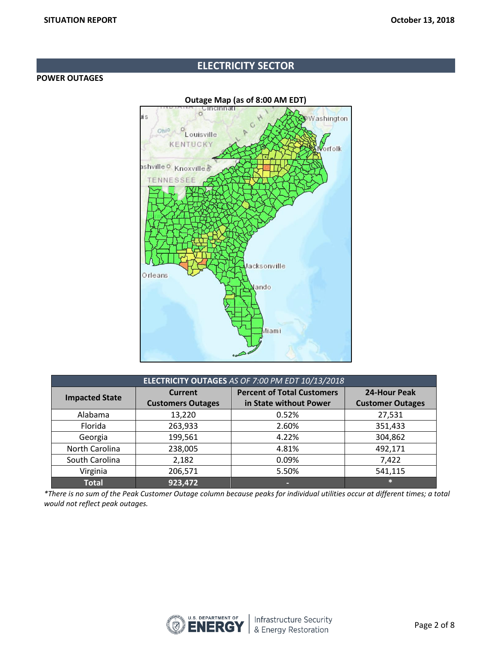## **ELECTRICITY SECTOR**

## **POWER OUTAGES**



| ELECTRICITY OUTAGES AS OF 7:00 PM EDT 10/13/2018 |                          |                                   |                         |  |
|--------------------------------------------------|--------------------------|-----------------------------------|-------------------------|--|
| <b>Impacted State</b>                            | <b>Current</b>           | <b>Percent of Total Customers</b> | 24-Hour Peak            |  |
|                                                  | <b>Customers Outages</b> | in State without Power            | <b>Customer Outages</b> |  |
| Alabama                                          | 13,220                   | 0.52%                             | 27,531                  |  |
| Florida                                          | 263,933                  | 2.60%                             | 351,433                 |  |
| Georgia                                          | 199,561                  | 4.22%                             | 304,862                 |  |
| North Carolina                                   | 238,005                  | 4.81%                             | 492,171                 |  |
| South Carolina                                   | 2,182                    | 0.09%                             | 7,422                   |  |
| Virginia                                         | 206,571                  | 5.50%                             | 541,115                 |  |
| <b>Total</b>                                     | 923,472                  |                                   | $\ast$                  |  |

*\*There is no sum of the Peak Customer Outage column because peaks for individual utilities occur at different times; a total would not reflect peak outages.*

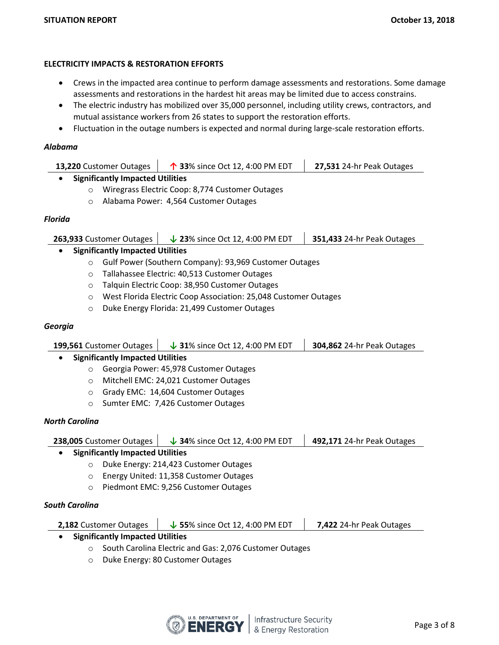## **ELECTRICITY IMPACTS & RESTORATION EFFORTS**

- Crews in the impacted area continue to perform damage assessments and restorations. Some damage assessments and restorations in the hardest hit areas may be limited due to access constrains.
- The electric industry has mobilized over 35,000 personnel, including utility crews, contractors, and mutual assistance workers from 26 states to support the restoration efforts.
- Fluctuation in the outage numbers is expected and normal during large-scale restoration efforts.

## *Alabama*

| <b>13,220</b> Customer Outages          | $\uparrow$ 33% since Oct 12, 4:00 PM EDT | 27,531 24-hr Peak Outages |  |  |
|-----------------------------------------|------------------------------------------|---------------------------|--|--|
| <b>Significantly Impacted Utilities</b> |                                          |                           |  |  |
|                                         | $\mathbf{M}$                             |                           |  |  |

- o Wiregrass Electric Coop: 8,774 Customer Outages
- o Alabama Power: 4,564 Customer Outages

## *Florida*

| 263,933 Customer Outages<br>$\downarrow$ 23% since Oct 12, 4:00 PM EDT |  | 351,433 24-hr Peak Outages |
|------------------------------------------------------------------------|--|----------------------------|
| a — Cievaifica valor boson anno al Hailitica.                          |  |                            |

- **Significantly Impacted Utilities**
	- o Gulf Power (Southern Company): 93,969 Customer Outages
	- o Tallahassee Electric: 40,513 Customer Outages
	- o Talquin Electric Coop: 38,950 Customer Outages
	- o West Florida Electric Coop Association: 25,048 Customer Outages
	- o Duke Energy Florida: 21,499 Customer Outages

## *Georgia*

|         | 199,561 Customer Outages                | $\downarrow$ 31% since Oct 12, 4:00 PM EDT | <b>304,862 24-hr Peak Outages</b> |
|---------|-----------------------------------------|--------------------------------------------|-----------------------------------|
|         | <b>Significantly Impacted Utilities</b> |                                            |                                   |
| $\circ$ |                                         | Georgia Power: 45,978 Customer Outages     |                                   |
| $\circ$ |                                         | Mitchell EMC: 24,021 Customer Outages      |                                   |
| $\circ$ |                                         | Grady EMC: 14,604 Customer Outages         |                                   |
| $\circ$ |                                         | Sumter EMC: 7,426 Customer Outages         |                                   |

## *North Carolina*

|         | 238,005 Customer Outages                | $\downarrow$ 34% since Oct 12, 4:00 PM EDT | 492,171 24-hr Peak Outages |
|---------|-----------------------------------------|--------------------------------------------|----------------------------|
|         | <b>Significantly Impacted Utilities</b> |                                            |                            |
| $\circ$ |                                         | Duke Energy: 214,423 Customer Outages      |                            |
| $\circ$ |                                         | Energy United: 11,358 Customer Outages     |                            |
| $\circ$ |                                         | Piedmont EMC: 9,256 Customer Outages       |                            |
|         |                                         |                                            |                            |

## *South Carolina*

| <b>2,182</b> Customer Outages | $\downarrow$ 55% since Oct 12, 4:00 PM EDT | 7,422 24-hr Peak Outages |
|-------------------------------|--------------------------------------------|--------------------------|
|-------------------------------|--------------------------------------------|--------------------------|

- **Significantly Impacted Utilities**
	- o South Carolina Electric and Gas: 2,076 Customer Outages
	- o Duke Energy: 80 Customer Outages

 $\mathbf{r}$ 

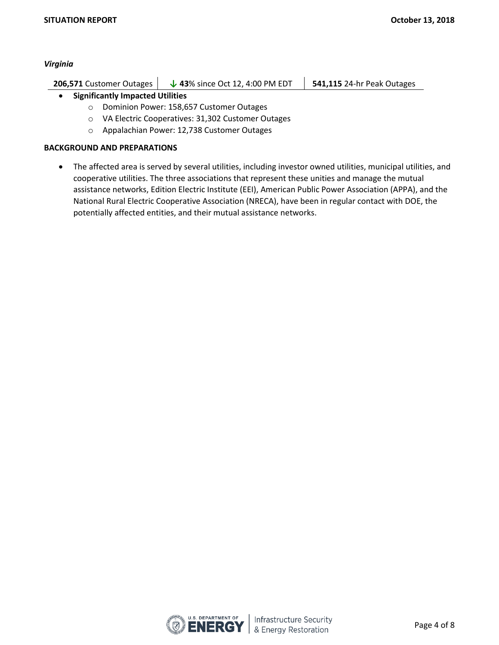#### *Virginia*

| <b>541,115 24-hr Peak Outages</b> |
|-----------------------------------|
|                                   |

## **Significantly Impacted Utilities**

- o Dominion Power: 158,657 Customer Outages
- o VA Electric Cooperatives: 31,302 Customer Outages
- o Appalachian Power: 12,738 Customer Outages

## **BACKGROUND AND PREPARATIONS**

 The affected area is served by several utilities, including investor owned utilities, municipal utilities, and cooperative utilities. The three associations that represent these unities and manage the mutual assistance networks, Edition Electric Institute (EEI), American Public Power Association (APPA), and the National Rural Electric Cooperative Association (NRECA), have been in regular contact with DOE, the potentially affected entities, and their mutual assistance networks.

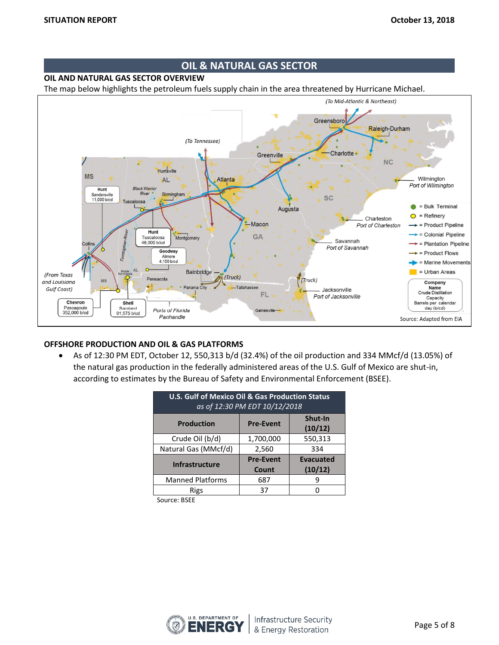## **OIL & NATURAL GAS SECTOR**

## **OIL AND NATURAL GAS SECTOR OVERVIEW**

The map below highlights the petroleum fuels supply chain in the area threatened by Hurricane Michael.



## **OFFSHORE PRODUCTION AND OIL & GAS PLATFORMS**

 As of 12:30 PM EDT, October 12, 550,313 b/d (32.4%) of the oil production and 334 MMcf/d (13.05%) of the natural gas production in the federally administered areas of the U.S. Gulf of Mexico are shut-in, according to estimates by the Bureau of Safety and Environmental Enforcement (BSEE).

| <b>U.S. Gulf of Mexico Oil &amp; Gas Production Status</b><br>as of 12:30 PM EDT 10/12/2018 |                           |                             |  |  |
|---------------------------------------------------------------------------------------------|---------------------------|-----------------------------|--|--|
| Shut-In<br><b>Production</b><br><b>Pre-Event</b><br>(10/12)                                 |                           |                             |  |  |
| Crude Oil (b/d)                                                                             | 1,700,000                 | 550,313                     |  |  |
| Natural Gas (MMcf/d)                                                                        | 2,560                     | 334                         |  |  |
| <b>Infrastructure</b>                                                                       | <b>Pre-Event</b><br>Count | <b>Evacuated</b><br>(10/12) |  |  |
| <b>Manned Platforms</b>                                                                     | 687                       |                             |  |  |
| Rigs                                                                                        | 37                        |                             |  |  |

Source: BSEE

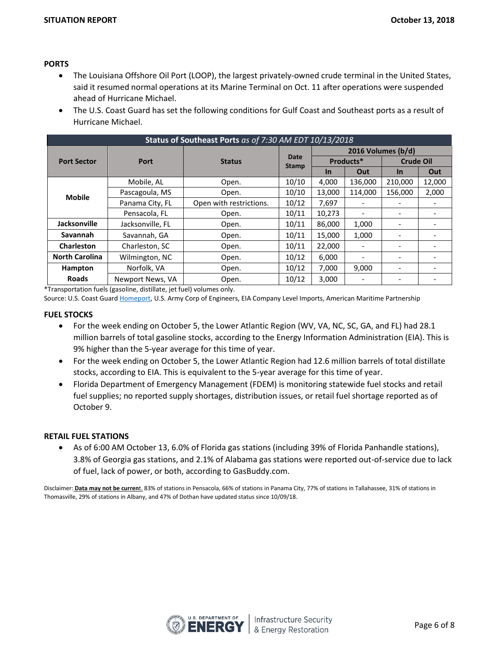## **PORTS**

- The Louisiana Offshore Oil Port (LOOP), the largest privately-owned crude terminal in the United States, said it resumed normal operations at its Marine Terminal on Oct. 11 after operations were suspended ahead of Hurricane Michael.
- The U.S. Coast Guard has set the following conditions for Gulf Coast and Southeast ports as a result of Hurricane Michael.

| Status of Southeast Ports as of 7:30 AM EDT 10/13/2018 |                  |                         |                      |                    |                          |                          |        |
|--------------------------------------------------------|------------------|-------------------------|----------------------|--------------------|--------------------------|--------------------------|--------|
|                                                        |                  |                         |                      | 2016 Volumes (b/d) |                          |                          |        |
| <b>Port Sector</b>                                     | Port             | <b>Status</b>           | Date<br><b>Stamp</b> | Products*          |                          | <b>Crude Oil</b>         |        |
|                                                        |                  |                         |                      | <b>In</b>          | Out                      | In.                      | Out    |
|                                                        | Mobile, AL       | Open.                   | 10/10                | 4,000              | 136,000                  | 210,000                  | 12,000 |
| <b>Mobile</b>                                          | Pascagoula, MS   | Open.                   | 10/10                | 13,000             | 114,000                  | 156,000                  | 2,000  |
|                                                        | Panama City, FL  | Open with restrictions. | 10/12                | 7,697              |                          |                          |        |
|                                                        | Pensacola, FL    | Open.                   | 10/11                | 10,273             |                          |                          |        |
| <b>Jacksonville</b>                                    | Jacksonville, FL | Open.                   | 10/11                | 86,000             | 1,000                    |                          |        |
| Savannah                                               | Savannah, GA     | Open.                   | 10/11                | 15,000             | 1,000                    | $\overline{\phantom{0}}$ |        |
| Charleston                                             | Charleston, SC   | Open.                   | 10/11                | 22,000             |                          |                          |        |
| <b>North Carolina</b>                                  | Wilmington, NC   | Open.                   | 10/12                | 6,000              | $\overline{\phantom{a}}$ | ٠                        | ٠      |
| Hampton                                                | Norfolk, VA      | Open.                   | 10/12                | 7,000              | 9,000                    | $\overline{\phantom{0}}$ |        |
| <b>Roads</b>                                           | Newport News, VA | Open.                   | 10/12                | 3,000              | $\overline{\phantom{a}}$ | $\overline{\phantom{0}}$ |        |

\*Transportation fuels (gasoline, distillate, jet fuel) volumes only.

Source: U.S. Coast Guard [Homeport](https://homeport.uscg.mil/port-directory/honolulu), U.S. Army Corp of Engineers, EIA Company Level Imports, American Maritime Partnership

#### **FUEL STOCKS**

- For the week ending on October 5, the Lower Atlantic Region (WV, VA, NC, SC, GA, and FL) had 28.1 million barrels of total gasoline stocks, according to the Energy Information Administration (EIA). This is 9% higher than the 5-year average for this time of year.
- For the week ending on October 5, the Lower Atlantic Region had 12.6 million barrels of total distillate stocks, according to EIA. This is equivalent to the 5-year average for this time of year.
- Florida Department of Emergency Management (FDEM) is monitoring statewide fuel stocks and retail fuel supplies; no reported supply shortages, distribution issues, or retail fuel shortage reported as of October 9.

#### **RETAIL FUEL STATIONS**

 As of 6:00 AM October 13, 6.0% of Florida gas stations (including 39% of Florida Panhandle stations), 3.8% of Georgia gas stations, and 2.1% of Alabama gas stations were reported out-of-service due to lack of fuel, lack of power, or both, according to GasBuddy.com.

Disclaimer: **Data may not be curren**t. 83% of stations in Pensacola, 66% of stations in Panama City, 77% of stations in Tallahassee, 31% of stations in Thomasville, 29% of stations in Albany, and 47% of Dothan have updated status since 10/09/18.

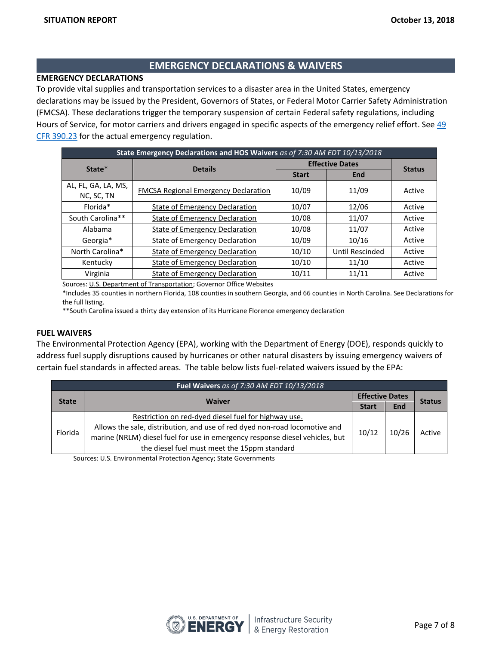## **EMERGENCY DECLARATIONS & WAIVERS**

## **EMERGENCY DECLARATIONS**

To provide vital supplies and transportation services to a disaster area in the United States, emergency declarations may be issued by the President, Governors of States, or Federal Motor Carrier Safety Administration (FMCSA). These declarations trigger the temporary suspension of certain Federal safety regulations, including Hours of Service, for motor carriers and drivers engaged in specific aspects of the emergency relief effort. See 49 [CFR 390.23](https://www.fmcsa.dot.gov/regulations/title49/section/390.23) for the actual emergency regulation.

| State Emergency Declarations and HOS Waivers as of 7:30 AM EDT 10/13/2018 |                                             |                        |                 |        |  |
|---------------------------------------------------------------------------|---------------------------------------------|------------------------|-----------------|--------|--|
| State*                                                                    | <b>Details</b>                              | <b>Effective Dates</b> | <b>Status</b>   |        |  |
|                                                                           |                                             | <b>Start</b>           | End             |        |  |
| AL, FL, GA, LA, MS,<br>NC, SC, TN                                         | <b>FMCSA Regional Emergency Declaration</b> | 10/09                  | 11/09           | Active |  |
| Florida*                                                                  | State of Emergency Declaration              | 10/07                  | 12/06           | Active |  |
| South Carolina**                                                          | <b>State of Emergency Declaration</b>       | 10/08                  | 11/07           | Active |  |
| Alabama                                                                   | State of Emergency Declaration              | 10/08                  | 11/07           | Active |  |
| Georgia*                                                                  | <b>State of Emergency Declaration</b>       | 10/09                  | 10/16           | Active |  |
| North Carolina*                                                           | State of Emergency Declaration              | 10/10                  | Until Rescinded | Active |  |
| Kentucky                                                                  | <b>State of Emergency Declaration</b>       | 10/10                  | 11/10           | Active |  |
| Virginia                                                                  | <b>State of Emergency Declaration</b>       | 10/11                  | 11/11           | Active |  |

Sources[: U.S. Department of Transportation;](http://www.fmcsa.dot.gov/emergency) Governor Office Websites

\*Includes 35 counties in northern Florida, 108 counties in southern Georgia, and 66 counties in North Carolina. See Declarations for the full listing.

\*\*South Carolina issued a thirty day extension of its Hurricane Florence emergency declaration

#### **FUEL WAIVERS**

The Environmental Protection Agency (EPA), working with the Department of Energy (DOE), responds quickly to address fuel supply disruptions caused by hurricanes or other natural disasters by issuing emergency waivers of certain fuel standards in affected areas. The table below lists fuel-related waivers issued by the EPA:

| Fuel Waivers as of 7:30 AM EDT 10/13/2018 |                                                                                                                                                                                                            |       |                        |               |  |
|-------------------------------------------|------------------------------------------------------------------------------------------------------------------------------------------------------------------------------------------------------------|-------|------------------------|---------------|--|
| <b>State</b>                              | <b>Waiver</b>                                                                                                                                                                                              |       | <b>Effective Dates</b> |               |  |
|                                           |                                                                                                                                                                                                            |       | End                    | <b>Status</b> |  |
|                                           | Restriction on red-dyed diesel fuel for highway use.                                                                                                                                                       |       |                        |               |  |
| Florida                                   | Allows the sale, distribution, and use of red dyed non-road locomotive and<br>marine (NRLM) diesel fuel for use in emergency response diesel vehicles, but<br>the diesel fuel must meet the 15ppm standard | 10/12 | 10/26                  | Active        |  |

Sources: [U.S. Environmental Protection Agency;](https://www.epa.gov/enforcement/fuel-waivers) State Governments